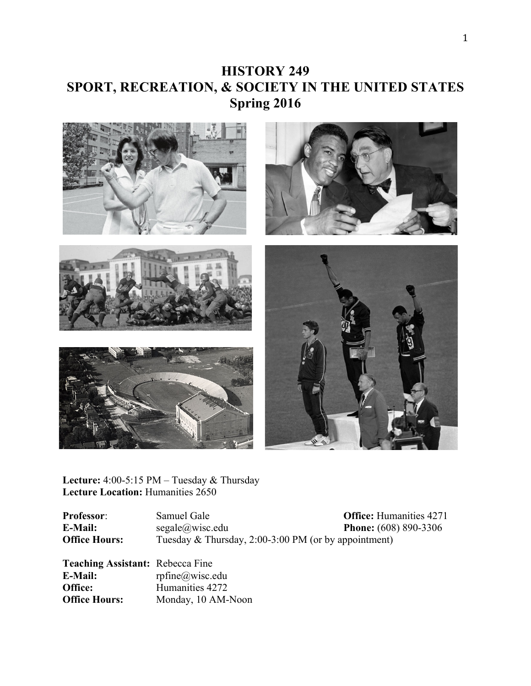# **HISTORY 249 SPORT, RECREATION, & SOCIETY IN THE UNITED STATES Spring 2016**



**Lecture:** 4:00-5:15 PM – Tuesday & Thursday Lecture Location: Humanities 2650

**Professor**: Samuel Gale **Office:** Humanities 4271 **E-Mail:** segale@wisc.edu **Phone:** (608) 890-3306 **Office Hours:** Tuesday & Thursday, 2:00-3:00 PM (or by appointment)

**Teaching Assistant:** Rebecca Fine **E-Mail:** rpfine@wisc.edu **Office:** Humanities 4272 **Office Hours:** Monday, 10 AM-Noon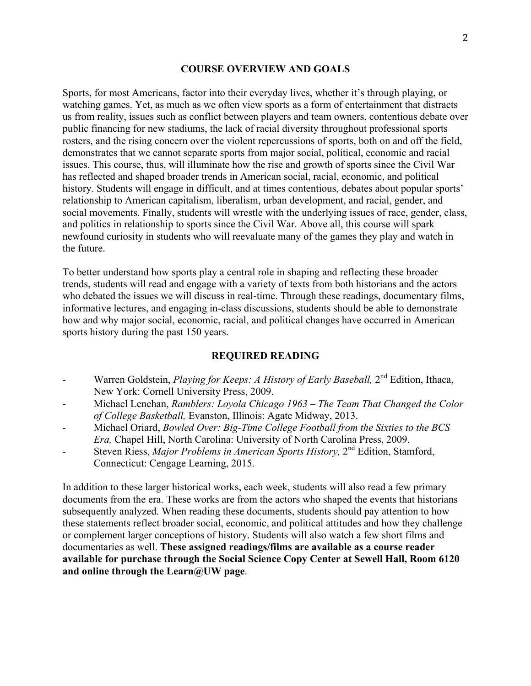#### **COURSE OVERVIEW AND GOALS**

Sports, for most Americans, factor into their everyday lives, whether it's through playing, or watching games. Yet, as much as we often view sports as a form of entertainment that distracts us from reality, issues such as conflict between players and team owners, contentious debate over public financing for new stadiums, the lack of racial diversity throughout professional sports rosters, and the rising concern over the violent repercussions of sports, both on and off the field, demonstrates that we cannot separate sports from major social, political, economic and racial issues. This course, thus, will illuminate how the rise and growth of sports since the Civil War has reflected and shaped broader trends in American social, racial, economic, and political history. Students will engage in difficult, and at times contentious, debates about popular sports' relationship to American capitalism, liberalism, urban development, and racial, gender, and social movements. Finally, students will wrestle with the underlying issues of race, gender, class, and politics in relationship to sports since the Civil War. Above all, this course will spark newfound curiosity in students who will reevaluate many of the games they play and watch in the future.

To better understand how sports play a central role in shaping and reflecting these broader trends, students will read and engage with a variety of texts from both historians and the actors who debated the issues we will discuss in real-time. Through these readings, documentary films, informative lectures, and engaging in-class discussions, students should be able to demonstrate how and why major social, economic, racial, and political changes have occurred in American sports history during the past 150 years.

#### **REQUIRED READING**

- Warren Goldstein, *Playing for Keeps: A History of Early Baseball*, 2<sup>nd</sup> Edition, Ithaca, New York: Cornell University Press, 2009.
- Michael Lenehan, *Ramblers: Loyola Chicago 1963 – The Team That Changed the Color of College Basketball,* Evanston, Illinois: Agate Midway, 2013.
- Michael Oriard, *Bowled Over: Big-Time College Football from the Sixties to the BCS Era,* Chapel Hill, North Carolina: University of North Carolina Press, 2009.
- Steven Riess, *Major Problems in American Sports History*, 2<sup>nd</sup> Edition, Stamford, Connecticut: Cengage Learning, 2015.

In addition to these larger historical works, each week, students will also read a few primary documents from the era. These works are from the actors who shaped the events that historians subsequently analyzed. When reading these documents, students should pay attention to how these statements reflect broader social, economic, and political attitudes and how they challenge or complement larger conceptions of history. Students will also watch a few short films and documentaries as well. **These assigned readings/films are available as a course reader available for purchase through the Social Science Copy Center at Sewell Hall, Room 6120 and online through the Learn@UW page**.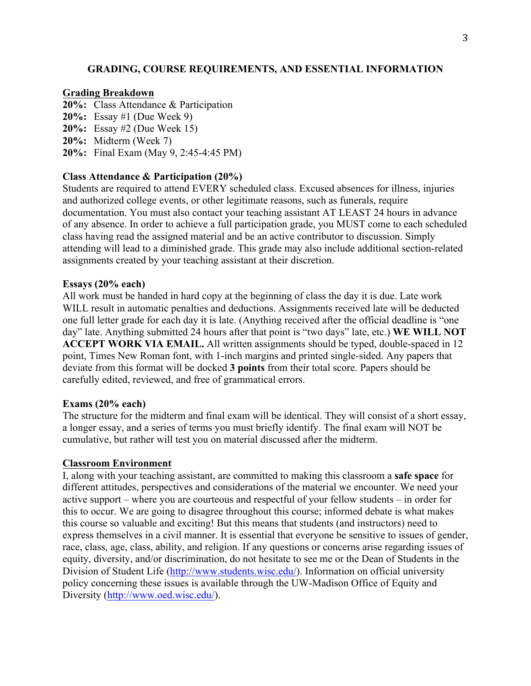### **GRADING, COURSE REQUIREMENTS, AND ESSENTIAL INFORMATION**

#### **Grading Breakdown**

- **20%:** Class Attendance & Participation
- **20%:** Essay #1 (Due Week 9)
- **20%:** Essay #2 (Due Week 15)
- **20%:** Midterm (Week 7)
- **20%:** Final Exam (May 9, 2:45-4:45 PM)

### **Class Attendance & Participation (20%)**

Students are required to attend EVERY scheduled class. Excused absences for illness, injuries and authorized college events, or other legitimate reasons, such as funerals, require documentation. You must also contact your teaching assistant AT LEAST 24 hours in advance of any absence. In order to achieve a full participation grade, you MUST come to each scheduled class having read the assigned material and be an active contributor to discussion. Simply attending will lead to a diminished grade. This grade may also include additional section-related assignments created by your teaching assistant at their discretion.

#### **Essays (20% each)**

All work must be handed in hard copy at the beginning of class the day it is due. Late work WILL result in automatic penalties and deductions. Assignments received late will be deducted one full letter grade for each day it is late. (Anything received after the official deadline is "one day" late. Anything submitted 24 hours after that point is "two days" late, etc.) **WE WILL NOT ACCEPT WORK VIA EMAIL.** All written assignments should be typed, double-spaced in 12 point, Times New Roman font, with 1-inch margins and printed single-sided. Any papers that deviate from this format will be docked **3 points** from their total score. Papers should be carefully edited, reviewed, and free of grammatical errors.

#### **Exams (20% each)**

The structure for the midterm and final exam will be identical. They will consist of a short essay, a longer essay, and a series of terms you must briefly identify. The final exam will NOT be cumulative, but rather will test you on material discussed after the midterm.

#### **Classroom Environment**

I, along with your teaching assistant, are committed to making this classroom a **safe space** for different attitudes, perspectives and considerations of the material we encounter. We need your active support – where you are courteous and respectful of your fellow students – in order for this to occur. We are going to disagree throughout this course; informed debate is what makes this course so valuable and exciting! But this means that students (and instructors) need to express themselves in a civil manner. It is essential that everyone be sensitive to issues of gender, race, class, age, class, ability, and religion. If any questions or concerns arise regarding issues of equity, diversity, and/or discrimination, do not hesitate to see me or the Dean of Students in the Division of Student Life (http://www.students.wisc.edu/). Information on official university policy concerning these issues is available through the UW-Madison Office of Equity and Diversity (http://www.oed.wisc.edu/).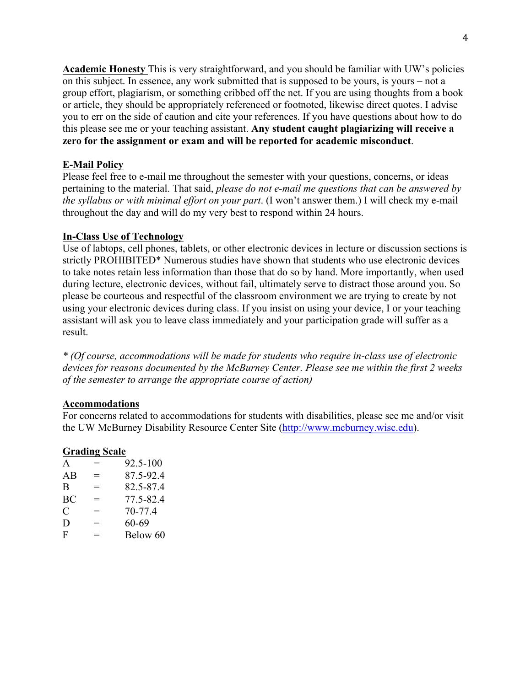**Academic Honesty** This is very straightforward, and you should be familiar with UW's policies on this subject. In essence, any work submitted that is supposed to be yours, is yours – not a group effort, plagiarism, or something cribbed off the net. If you are using thoughts from a book or article, they should be appropriately referenced or footnoted, likewise direct quotes. I advise you to err on the side of caution and cite your references. If you have questions about how to do this please see me or your teaching assistant. **Any student caught plagiarizing will receive a zero for the assignment or exam and will be reported for academic misconduct**.

### **E-Mail Policy**

Please feel free to e-mail me throughout the semester with your questions, concerns, or ideas pertaining to the material. That said, *please do not e-mail me questions that can be answered by the syllabus or with minimal effort on your part*. (I won't answer them.) I will check my e-mail throughout the day and will do my very best to respond within 24 hours.

### **In-Class Use of Technology**

Use of labtops, cell phones, tablets, or other electronic devices in lecture or discussion sections is strictly PROHIBITED\* Numerous studies have shown that students who use electronic devices to take notes retain less information than those that do so by hand. More importantly, when used during lecture, electronic devices, without fail, ultimately serve to distract those around you. So please be courteous and respectful of the classroom environment we are trying to create by not using your electronic devices during class. If you insist on using your device, I or your teaching assistant will ask you to leave class immediately and your participation grade will suffer as a result.

*\* (Of course, accommodations will be made for students who require in-class use of electronic devices for reasons documented by the McBurney Center. Please see me within the first 2 weeks of the semester to arrange the appropriate course of action)*

### **Accommodations**

For concerns related to accommodations for students with disabilities, please see me and/or visit the UW McBurney Disability Resource Center Site (http://www.mcburney.wisc.edu).

### **Grading Scale**

| A  | $=$ | 92.5-100  |
|----|-----|-----------|
| AB | $=$ | 87.5-92.4 |
| B  | =   | 82.5-87.4 |
| BC | $=$ | 77.5-82.4 |
| C  | $=$ | 70-77.4   |
| D  | $=$ | 60-69     |
| F  | $=$ | Below 60  |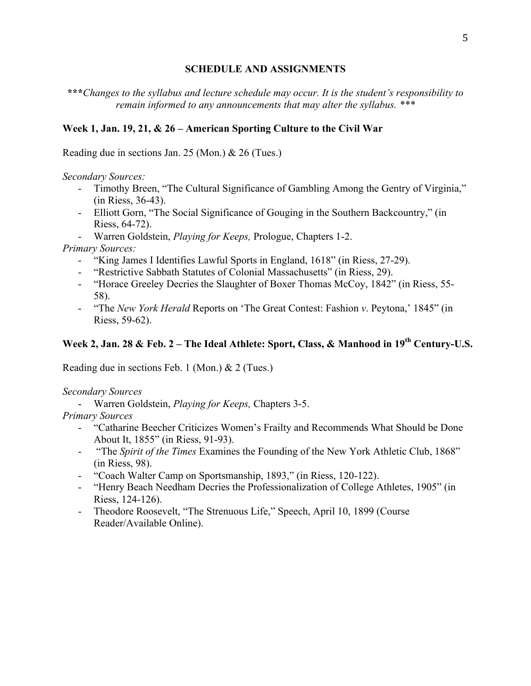### **SCHEDULE AND ASSIGNMENTS**

**\*\*\****Changes to the syllabus and lecture schedule may occur. It is the student's responsibility to remain informed to any announcements that may alter the syllabus. \*\*\**

### **Week 1, Jan. 19, 21, & 26 – American Sporting Culture to the Civil War**

Reading due in sections Jan. 25 (Mon.) & 26 (Tues.)

*Secondary Sources:*

- Timothy Breen, "The Cultural Significance of Gambling Among the Gentry of Virginia," (in Riess, 36-43).
- Elliott Gorn, "The Social Significance of Gouging in the Southern Backcountry," (in Riess, 64-72).
- Warren Goldstein, *Playing for Keeps,* Prologue, Chapters 1-2.

*Primary Sources:* 

- "King James I Identifies Lawful Sports in England, 1618" (in Riess, 27-29).
- "Restrictive Sabbath Statutes of Colonial Massachusetts" (in Riess, 29).
- "Horace Greeley Decries the Slaughter of Boxer Thomas McCoy, 1842" (in Riess, 55- 58).
- "The *New York Herald* Reports on 'The Great Contest: Fashion *v*. Peytona,' 1845" (in Riess, 59-62).

## **Week 2, Jan. 28 & Feb. 2 – The Ideal Athlete: Sport, Class, & Manhood in 19th Century-U.S.**

Reading due in sections Feb. 1 (Mon.) & 2 (Tues.)

#### *Secondary Sources*

- Warren Goldstein, *Playing for Keeps,* Chapters 3-5.

### *Primary Sources*

- "Catharine Beecher Criticizes Women's Frailty and Recommends What Should be Done About It, 1855" (in Riess, 91-93).
- "The *Spirit of the Times* Examines the Founding of the New York Athletic Club, 1868" (in Riess, 98).
- "Coach Walter Camp on Sportsmanship, 1893," (in Riess, 120-122).
- "Henry Beach Needham Decries the Professionalization of College Athletes, 1905" (in Riess, 124-126).
- Theodore Roosevelt, "The Strenuous Life," Speech, April 10, 1899 (Course Reader/Available Online).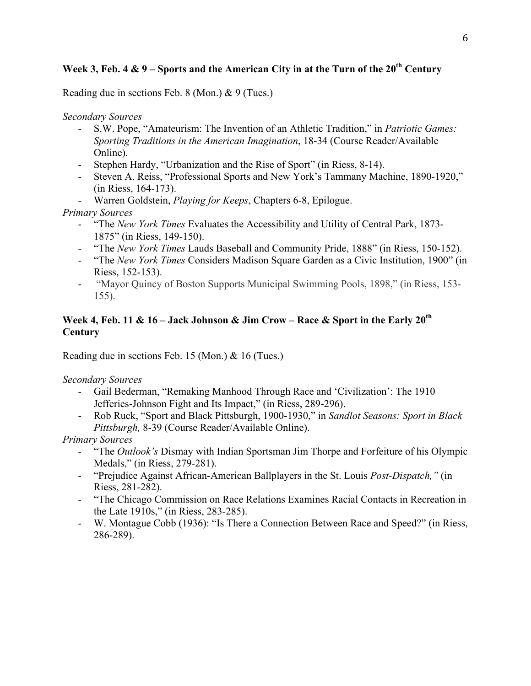## **Week 3, Feb. 4 & 9 – Sports and the American City in at the Turn of the 20th Century**

Reading due in sections Feb. 8 (Mon.) & 9 (Tues.)

*Secondary Sources*

- S.W. Pope, "Amateurism: The Invention of an Athletic Tradition," in *Patriotic Games: Sporting Traditions in the American Imagination*, 18-34 (Course Reader/Available Online).
- Stephen Hardy, "Urbanization and the Rise of Sport" (in Riess, 8-14).
- Steven A. Reiss, "Professional Sports and New York's Tammany Machine, 1890-1920," (in Riess, 164-173).
- Warren Goldstein, *Playing for Keeps*, Chapters 6-8, Epilogue.

*Primary Sources*

- "The *New York Times* Evaluates the Accessibility and Utility of Central Park, 1873- 1875" (in Riess, 149-150).
- "The *New York Times* Lauds Baseball and Community Pride, 1888" (in Riess, 150-152).
- "The *New York Times* Considers Madison Square Garden as a Civic Institution, 1900" (in Riess, 152-153).
- "Mayor Quincy of Boston Supports Municipal Swimming Pools, 1898," (in Riess, 153- 155).

## **Week 4, Feb. 11 & 16 – Jack Johnson & Jim Crow – Race & Sport in the Early 20th Century**

Reading due in sections Feb. 15 (Mon.) & 16 (Tues.)

*Secondary Sources*

- Gail Bederman, "Remaking Manhood Through Race and 'Civilization': The 1910 Jefferies-Johnson Fight and Its Impact," (in Riess, 289-296).
- Rob Ruck, "Sport and Black Pittsburgh, 1900-1930," in *Sandlot Seasons: Sport in Black Pittsburgh,* 8-39 (Course Reader/Available Online).

*Primary Sources*

- "The *Outlook's* Dismay with Indian Sportsman Jim Thorpe and Forfeiture of his Olympic Medals," (in Riess, 279-281).
- "Prejudice Against African-American Ballplayers in the St. Louis *Post-Dispatch,"* (in Riess, 281-282).
- "The Chicago Commission on Race Relations Examines Racial Contacts in Recreation in the Late 1910s," (in Riess, 283-285).
- W. Montague Cobb (1936): "Is There a Connection Between Race and Speed?" (in Riess, 286-289).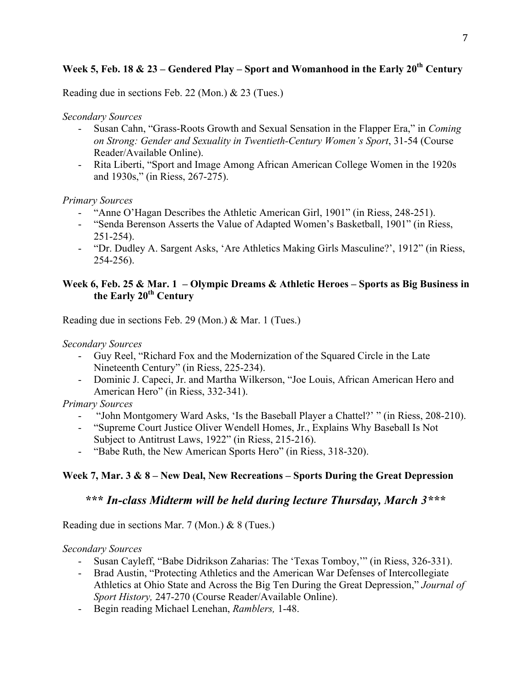# **Week 5, Feb. 18 & 23 – Gendered Play – Sport and Womanhood in the Early 20th Century**

Reading due in sections Feb. 22 (Mon.) & 23 (Tues.)

## *Secondary Sources*

- Susan Cahn, "Grass-Roots Growth and Sexual Sensation in the Flapper Era," in *Coming on Strong: Gender and Sexuality in Twentieth-Century Women's Sport*, 31-54 (Course Reader/Available Online).
- Rita Liberti, "Sport and Image Among African American College Women in the 1920s and 1930s," (in Riess, 267-275).

## *Primary Sources*

- "Anne O'Hagan Describes the Athletic American Girl, 1901" (in Riess, 248-251).
- "Senda Berenson Asserts the Value of Adapted Women's Basketball, 1901" (in Riess, 251-254).
- "Dr. Dudley A. Sargent Asks, 'Are Athletics Making Girls Masculine?', 1912" (in Riess, 254-256).

## **Week 6, Feb. 25 & Mar. 1 – Olympic Dreams & Athletic Heroes – Sports as Big Business in the Early 20th Century**

Reading due in sections Feb. 29 (Mon.) & Mar. 1 (Tues.)

*Secondary Sources*

- Guy Reel, "Richard Fox and the Modernization of the Squared Circle in the Late Nineteenth Century" (in Riess, 225-234).
- Dominic J. Capeci, Jr. and Martha Wilkerson, "Joe Louis, African American Hero and American Hero" (in Riess, 332-341).

## *Primary Sources*

- "John Montgomery Ward Asks, 'Is the Baseball Player a Chattel?' " (in Riess, 208-210).
- "Supreme Court Justice Oliver Wendell Homes, Jr., Explains Why Baseball Is Not Subject to Antitrust Laws, 1922" (in Riess, 215-216).
- "Babe Ruth, the New American Sports Hero" (in Riess, 318-320).

## **Week 7, Mar. 3 & 8 – New Deal, New Recreations – Sports During the Great Depression**

## **\*\*\*** *In-class Midterm will be held during lecture Thursday, March 3\*\*\**

Reading due in sections Mar. 7 (Mon.) & 8 (Tues.)

## *Secondary Sources*

- Susan Cayleff, "Babe Didrikson Zaharias: The 'Texas Tomboy,'" (in Riess, 326-331).
- Brad Austin, "Protecting Athletics and the American War Defenses of Intercollegiate Athletics at Ohio State and Across the Big Ten During the Great Depression," *Journal of Sport History,* 247-270 (Course Reader/Available Online).
- Begin reading Michael Lenehan, *Ramblers,* 1-48.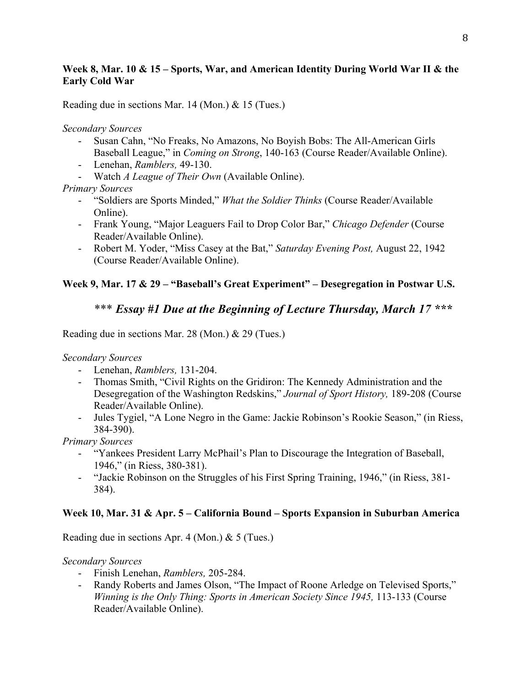## **Week 8, Mar. 10 & 15 – Sports, War, and American Identity During World War II & the Early Cold War**

Reading due in sections Mar. 14 (Mon.) & 15 (Tues.)

*Secondary Sources*

- Susan Cahn, "No Freaks, No Amazons, No Boyish Bobs: The All-American Girls Baseball League," in *Coming on Strong*, 140-163 (Course Reader/Available Online).
- Lenehan, *Ramblers,* 49-130.
- Watch *A League of Their Own* (Available Online).

## *Primary Sources*

- "Soldiers are Sports Minded," *What the Soldier Thinks* (Course Reader/Available Online).
- Frank Young, "Major Leaguers Fail to Drop Color Bar," *Chicago Defender* (Course Reader/Available Online).
- Robert M. Yoder, "Miss Casey at the Bat," *Saturday Evening Post,* August 22, 1942 (Course Reader/Available Online).

## **Week 9, Mar. 17 & 29 – "Baseball's Great Experiment" – Desegregation in Postwar U.S.**

## \*\*\* *Essay #1 Due at the Beginning of Lecture Thursday, March 17 \*\*\**

Reading due in sections Mar. 28 (Mon.) & 29 (Tues.)

*Secondary Sources*

- Lenehan, *Ramblers,* 131-204.
- Thomas Smith, "Civil Rights on the Gridiron: The Kennedy Administration and the Desegregation of the Washington Redskins," *Journal of Sport History,* 189-208 (Course Reader/Available Online).
- Jules Tygiel, "A Lone Negro in the Game: Jackie Robinson's Rookie Season," (in Riess, 384-390).

*Primary Sources*

- "Yankees President Larry McPhail's Plan to Discourage the Integration of Baseball, 1946," (in Riess, 380-381).
- "Jackie Robinson on the Struggles of his First Spring Training, 1946," (in Riess, 381- 384).

## **Week 10, Mar. 31 & Apr. 5 – California Bound – Sports Expansion in Suburban America**

Reading due in sections Apr. 4 (Mon.) & 5 (Tues.)

*Secondary Sources*

- Finish Lenehan, *Ramblers,* 205-284.
- Randy Roberts and James Olson, "The Impact of Roone Arledge on Televised Sports," *Winning is the Only Thing: Sports in American Society Since 1945,* 113-133 (Course Reader/Available Online).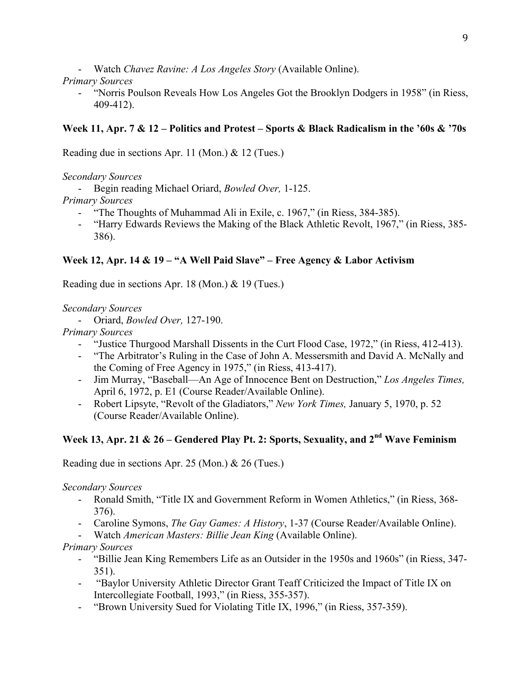- Watch *Chavez Ravine: A Los Angeles Story* (Available Online).

## *Primary Sources*

- "Norris Poulson Reveals How Los Angeles Got the Brooklyn Dodgers in 1958" (in Riess, 409-412).

## **Week 11, Apr. 7 & 12 – Politics and Protest – Sports & Black Radicalism in the '60s & '70s**

Reading due in sections Apr. 11 (Mon.) & 12 (Tues.)

## *Secondary Sources*

- Begin reading Michael Oriard, *Bowled Over,* 1-125.

## *Primary Sources*

- "The Thoughts of Muhammad Ali in Exile, c. 1967," (in Riess, 384-385).
- "Harry Edwards Reviews the Making of the Black Athletic Revolt, 1967," (in Riess, 385- 386).

## **Week 12, Apr. 14 & 19 – "A Well Paid Slave" – Free Agency & Labor Activism**

Reading due in sections Apr. 18 (Mon.) & 19 (Tues.)

## *Secondary Sources*

- Oriard, *Bowled Over,* 127-190.

*Primary Sources*

- "Justice Thurgood Marshall Dissents in the Curt Flood Case, 1972," (in Riess, 412-413).
- "The Arbitrator's Ruling in the Case of John A. Messersmith and David A. McNally and the Coming of Free Agency in 1975," (in Riess, 413-417).
- Jim Murray, "Baseball—An Age of Innocence Bent on Destruction," *Los Angeles Times,*  April 6, 1972, p. E1 (Course Reader/Available Online).
- Robert Lipsyte, "Revolt of the Gladiators," *New York Times,* January 5, 1970, p. 52 (Course Reader/Available Online).

## **Week 13, Apr. 21 & 26 – Gendered Play Pt. 2: Sports, Sexuality, and 2nd Wave Feminism**

Reading due in sections Apr. 25 (Mon.) & 26 (Tues.)

## *Secondary Sources*

- Ronald Smith, "Title IX and Government Reform in Women Athletics," (in Riess, 368- 376).
- Caroline Symons, *The Gay Games: A History*, 1-37 (Course Reader/Available Online).
- Watch *American Masters: Billie Jean King* (Available Online).

## *Primary Sources*

- "Billie Jean King Remembers Life as an Outsider in the 1950s and 1960s" (in Riess, 347- 351).
- "Baylor University Athletic Director Grant Teaff Criticized the Impact of Title IX on Intercollegiate Football, 1993," (in Riess, 355-357).
- "Brown University Sued for Violating Title IX, 1996," (in Riess, 357-359).